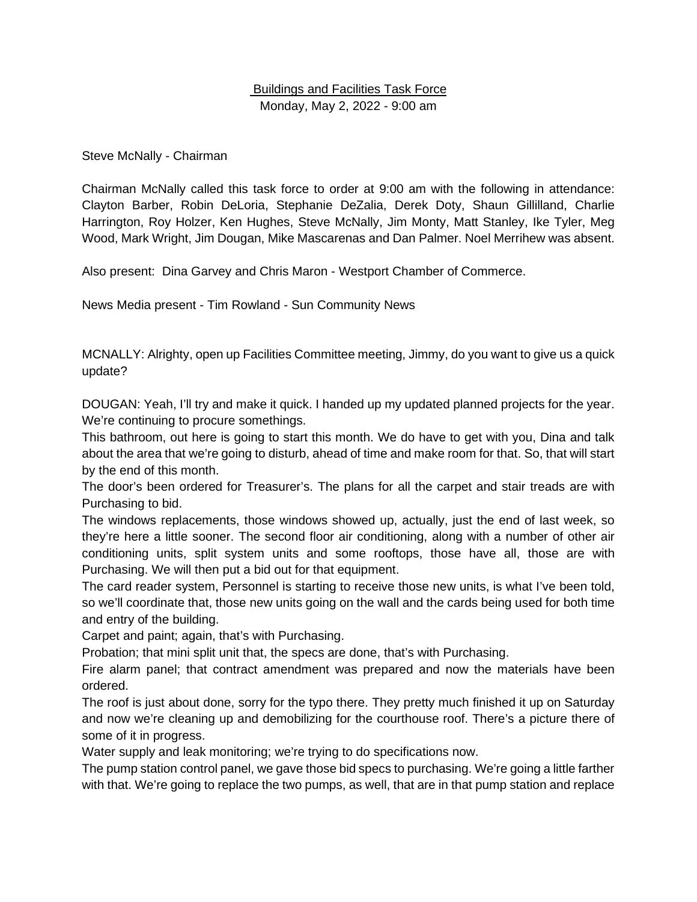#### Buildings and Facilities Task Force Monday, May 2, 2022 - 9:00 am

Steve McNally - Chairman

Chairman McNally called this task force to order at 9:00 am with the following in attendance: Clayton Barber, Robin DeLoria, Stephanie DeZalia, Derek Doty, Shaun Gillilland, Charlie Harrington, Roy Holzer, Ken Hughes, Steve McNally, Jim Monty, Matt Stanley, Ike Tyler, Meg Wood, Mark Wright, Jim Dougan, Mike Mascarenas and Dan Palmer. Noel Merrihew was absent.

Also present: Dina Garvey and Chris Maron - Westport Chamber of Commerce.

News Media present - Tim Rowland - Sun Community News

MCNALLY: Alrighty, open up Facilities Committee meeting, Jimmy, do you want to give us a quick update?

DOUGAN: Yeah, I'll try and make it quick. I handed up my updated planned projects for the year. We're continuing to procure somethings.

This bathroom, out here is going to start this month. We do have to get with you, Dina and talk about the area that we're going to disturb, ahead of time and make room for that. So, that will start by the end of this month.

The door's been ordered for Treasurer's. The plans for all the carpet and stair treads are with Purchasing to bid.

The windows replacements, those windows showed up, actually, just the end of last week, so they're here a little sooner. The second floor air conditioning, along with a number of other air conditioning units, split system units and some rooftops, those have all, those are with Purchasing. We will then put a bid out for that equipment.

The card reader system, Personnel is starting to receive those new units, is what I've been told, so we'll coordinate that, those new units going on the wall and the cards being used for both time and entry of the building.

Carpet and paint; again, that's with Purchasing.

Probation; that mini split unit that, the specs are done, that's with Purchasing.

Fire alarm panel; that contract amendment was prepared and now the materials have been ordered.

The roof is just about done, sorry for the typo there. They pretty much finished it up on Saturday and now we're cleaning up and demobilizing for the courthouse roof. There's a picture there of some of it in progress.

Water supply and leak monitoring; we're trying to do specifications now.

The pump station control panel, we gave those bid specs to purchasing. We're going a little farther with that. We're going to replace the two pumps, as well, that are in that pump station and replace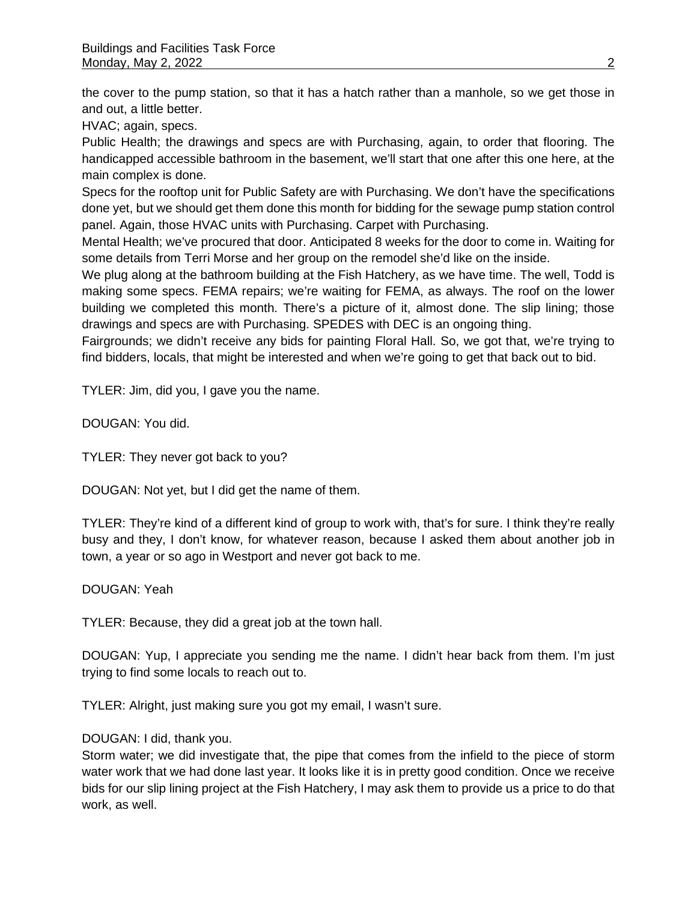the cover to the pump station, so that it has a hatch rather than a manhole, so we get those in and out, a little better.

HVAC; again, specs.

Public Health; the drawings and specs are with Purchasing, again, to order that flooring. The handicapped accessible bathroom in the basement, we'll start that one after this one here, at the main complex is done.

Specs for the rooftop unit for Public Safety are with Purchasing. We don't have the specifications done yet, but we should get them done this month for bidding for the sewage pump station control panel. Again, those HVAC units with Purchasing. Carpet with Purchasing.

Mental Health; we've procured that door. Anticipated 8 weeks for the door to come in. Waiting for some details from Terri Morse and her group on the remodel she'd like on the inside.

We plug along at the bathroom building at the Fish Hatchery, as we have time. The well, Todd is making some specs. FEMA repairs; we're waiting for FEMA, as always. The roof on the lower building we completed this month. There's a picture of it, almost done. The slip lining; those drawings and specs are with Purchasing. SPEDES with DEC is an ongoing thing.

Fairgrounds; we didn't receive any bids for painting Floral Hall. So, we got that, we're trying to find bidders, locals, that might be interested and when we're going to get that back out to bid.

TYLER: Jim, did you, I gave you the name.

DOUGAN: You did.

TYLER: They never got back to you?

DOUGAN: Not yet, but I did get the name of them.

TYLER: They're kind of a different kind of group to work with, that's for sure. I think they're really busy and they, I don't know, for whatever reason, because I asked them about another job in town, a year or so ago in Westport and never got back to me.

DOUGAN: Yeah

TYLER: Because, they did a great job at the town hall.

DOUGAN: Yup, I appreciate you sending me the name. I didn't hear back from them. I'm just trying to find some locals to reach out to.

TYLER: Alright, just making sure you got my email, I wasn't sure.

#### DOUGAN: I did, thank you.

Storm water; we did investigate that, the pipe that comes from the infield to the piece of storm water work that we had done last year. It looks like it is in pretty good condition. Once we receive bids for our slip lining project at the Fish Hatchery, I may ask them to provide us a price to do that work, as well.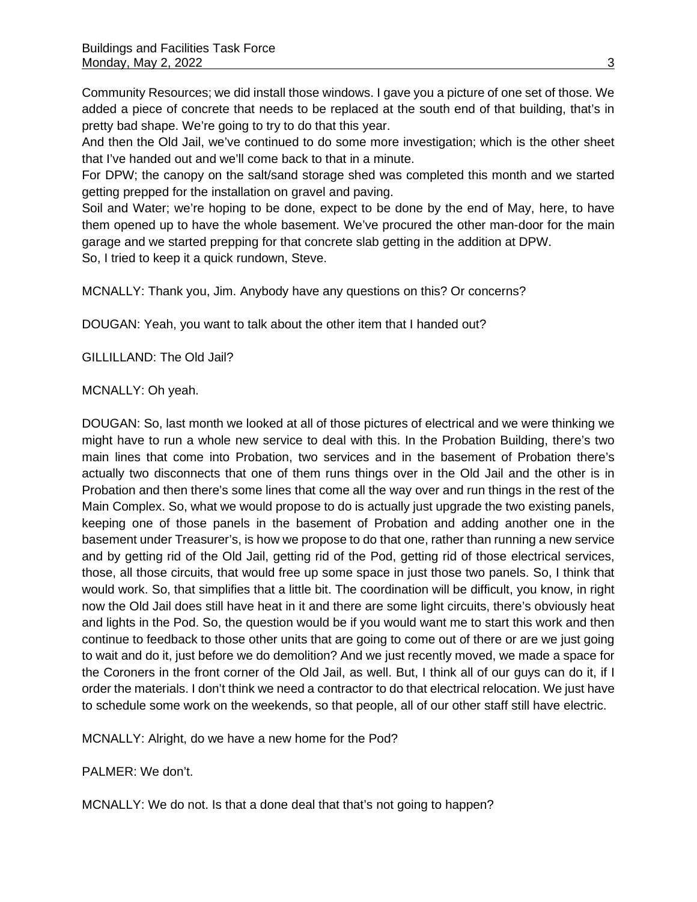Community Resources; we did install those windows. I gave you a picture of one set of those. We added a piece of concrete that needs to be replaced at the south end of that building, that's in pretty bad shape. We're going to try to do that this year.

And then the Old Jail, we've continued to do some more investigation; which is the other sheet that I've handed out and we'll come back to that in a minute.

For DPW; the canopy on the salt/sand storage shed was completed this month and we started getting prepped for the installation on gravel and paving.

Soil and Water; we're hoping to be done, expect to be done by the end of May, here, to have them opened up to have the whole basement. We've procured the other man-door for the main garage and we started prepping for that concrete slab getting in the addition at DPW. So, I tried to keep it a quick rundown, Steve.

MCNALLY: Thank you, Jim. Anybody have any questions on this? Or concerns?

DOUGAN: Yeah, you want to talk about the other item that I handed out?

GILLILLAND: The Old Jail?

#### MCNALLY: Oh yeah.

DOUGAN: So, last month we looked at all of those pictures of electrical and we were thinking we might have to run a whole new service to deal with this. In the Probation Building, there's two main lines that come into Probation, two services and in the basement of Probation there's actually two disconnects that one of them runs things over in the Old Jail and the other is in Probation and then there's some lines that come all the way over and run things in the rest of the Main Complex. So, what we would propose to do is actually just upgrade the two existing panels, keeping one of those panels in the basement of Probation and adding another one in the basement under Treasurer's, is how we propose to do that one, rather than running a new service and by getting rid of the Old Jail, getting rid of the Pod, getting rid of those electrical services, those, all those circuits, that would free up some space in just those two panels. So, I think that would work. So, that simplifies that a little bit. The coordination will be difficult, you know, in right now the Old Jail does still have heat in it and there are some light circuits, there's obviously heat and lights in the Pod. So, the question would be if you would want me to start this work and then continue to feedback to those other units that are going to come out of there or are we just going to wait and do it, just before we do demolition? And we just recently moved, we made a space for the Coroners in the front corner of the Old Jail, as well. But, I think all of our guys can do it, if I order the materials. I don't think we need a contractor to do that electrical relocation. We just have to schedule some work on the weekends, so that people, all of our other staff still have electric.

MCNALLY: Alright, do we have a new home for the Pod?

PALMER: We don't.

MCNALLY: We do not. Is that a done deal that that's not going to happen?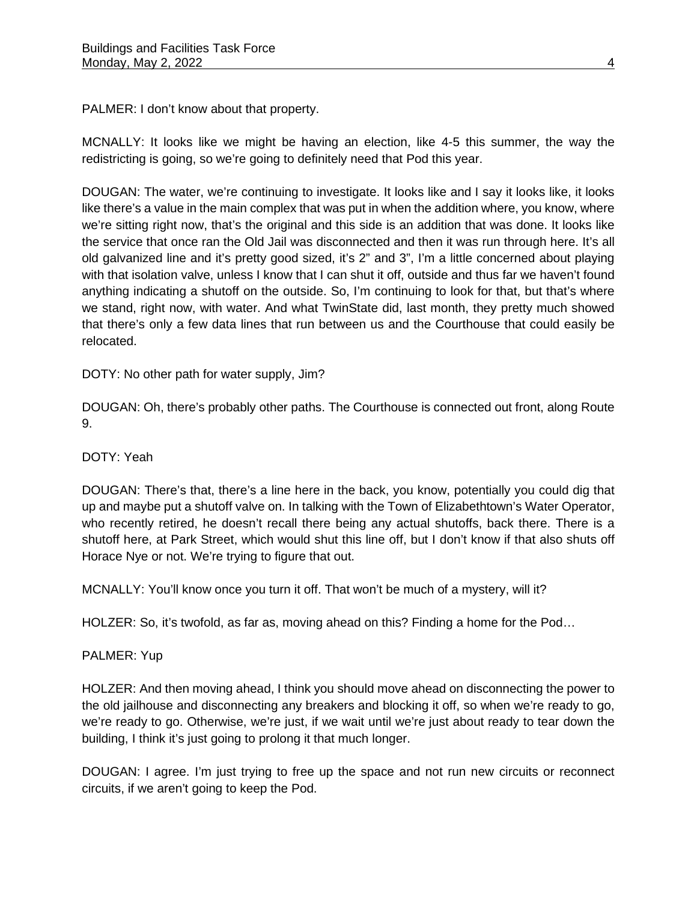PALMER: I don't know about that property.

MCNALLY: It looks like we might be having an election, like 4-5 this summer, the way the redistricting is going, so we're going to definitely need that Pod this year.

DOUGAN: The water, we're continuing to investigate. It looks like and I say it looks like, it looks like there's a value in the main complex that was put in when the addition where, you know, where we're sitting right now, that's the original and this side is an addition that was done. It looks like the service that once ran the Old Jail was disconnected and then it was run through here. It's all old galvanized line and it's pretty good sized, it's 2" and 3", I'm a little concerned about playing with that isolation valve, unless I know that I can shut it off, outside and thus far we haven't found anything indicating a shutoff on the outside. So, I'm continuing to look for that, but that's where we stand, right now, with water. And what TwinState did, last month, they pretty much showed that there's only a few data lines that run between us and the Courthouse that could easily be relocated.

DOTY: No other path for water supply, Jim?

DOUGAN: Oh, there's probably other paths. The Courthouse is connected out front, along Route 9.

#### DOTY: Yeah

DOUGAN: There's that, there's a line here in the back, you know, potentially you could dig that up and maybe put a shutoff valve on. In talking with the Town of Elizabethtown's Water Operator, who recently retired, he doesn't recall there being any actual shutoffs, back there. There is a shutoff here, at Park Street, which would shut this line off, but I don't know if that also shuts off Horace Nye or not. We're trying to figure that out.

MCNALLY: You'll know once you turn it off. That won't be much of a mystery, will it?

HOLZER: So, it's twofold, as far as, moving ahead on this? Finding a home for the Pod…

#### PALMER: Yup

HOLZER: And then moving ahead, I think you should move ahead on disconnecting the power to the old jailhouse and disconnecting any breakers and blocking it off, so when we're ready to go, we're ready to go. Otherwise, we're just, if we wait until we're just about ready to tear down the building, I think it's just going to prolong it that much longer.

DOUGAN: I agree. I'm just trying to free up the space and not run new circuits or reconnect circuits, if we aren't going to keep the Pod.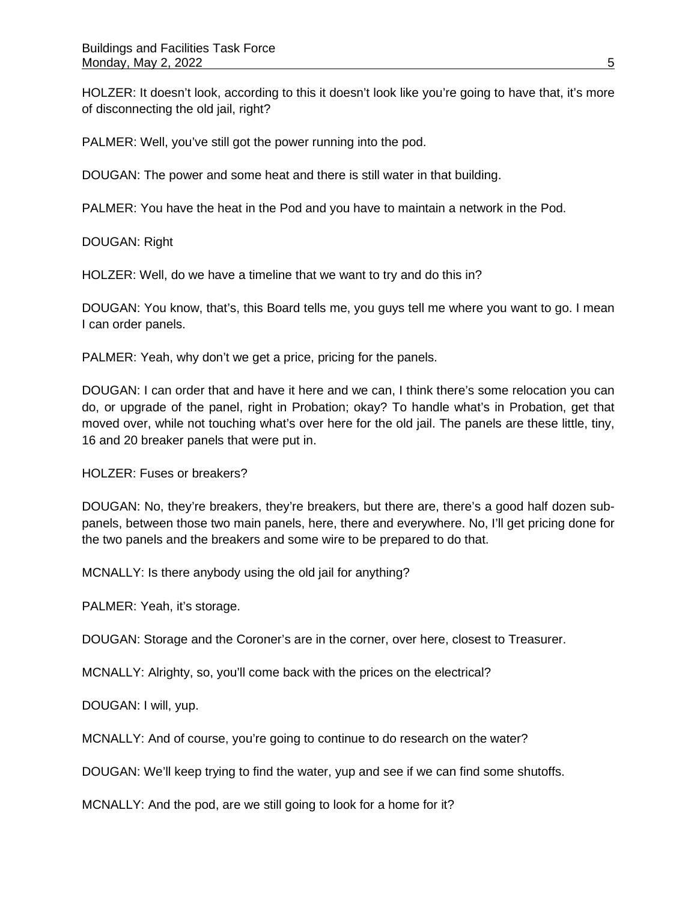HOLZER: It doesn't look, according to this it doesn't look like you're going to have that, it's more of disconnecting the old jail, right?

PALMER: Well, you've still got the power running into the pod.

DOUGAN: The power and some heat and there is still water in that building.

PALMER: You have the heat in the Pod and you have to maintain a network in the Pod.

DOUGAN: Right

HOLZER: Well, do we have a timeline that we want to try and do this in?

DOUGAN: You know, that's, this Board tells me, you guys tell me where you want to go. I mean I can order panels.

PALMER: Yeah, why don't we get a price, pricing for the panels.

DOUGAN: I can order that and have it here and we can, I think there's some relocation you can do, or upgrade of the panel, right in Probation; okay? To handle what's in Probation, get that moved over, while not touching what's over here for the old jail. The panels are these little, tiny, 16 and 20 breaker panels that were put in.

HOLZER: Fuses or breakers?

DOUGAN: No, they're breakers, they're breakers, but there are, there's a good half dozen subpanels, between those two main panels, here, there and everywhere. No, I'll get pricing done for the two panels and the breakers and some wire to be prepared to do that.

MCNALLY: Is there anybody using the old jail for anything?

PALMER: Yeah, it's storage.

DOUGAN: Storage and the Coroner's are in the corner, over here, closest to Treasurer.

MCNALLY: Alrighty, so, you'll come back with the prices on the electrical?

DOUGAN: I will, yup.

MCNALLY: And of course, you're going to continue to do research on the water?

DOUGAN: We'll keep trying to find the water, yup and see if we can find some shutoffs.

MCNALLY: And the pod, are we still going to look for a home for it?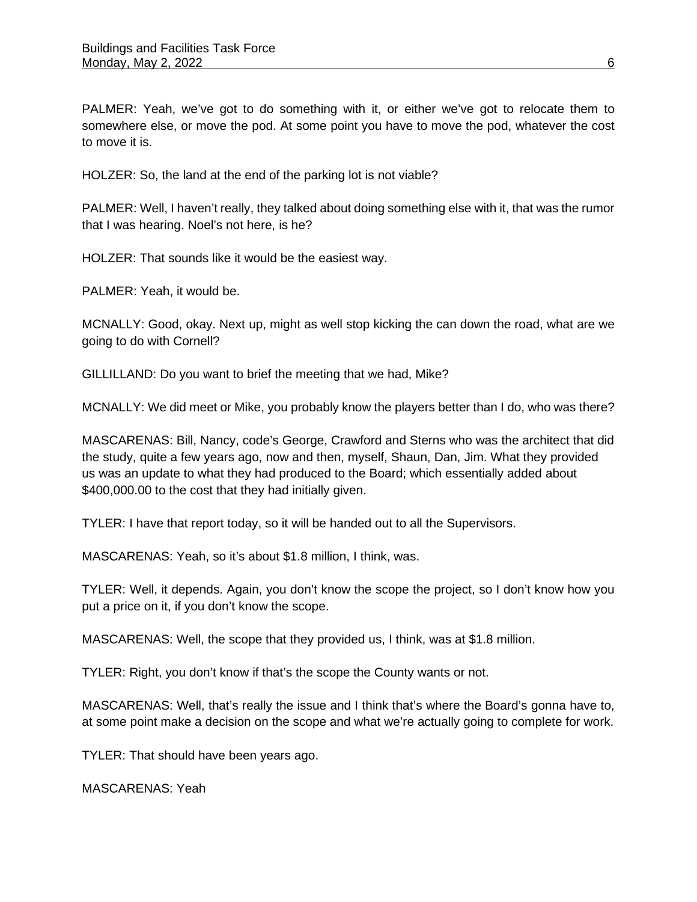PALMER: Yeah, we've got to do something with it, or either we've got to relocate them to somewhere else, or move the pod. At some point you have to move the pod, whatever the cost to move it is.

HOLZER: So, the land at the end of the parking lot is not viable?

PALMER: Well, I haven't really, they talked about doing something else with it, that was the rumor that I was hearing. Noel's not here, is he?

HOLZER: That sounds like it would be the easiest way.

PALMER: Yeah, it would be.

MCNALLY: Good, okay. Next up, might as well stop kicking the can down the road, what are we going to do with Cornell?

GILLILLAND: Do you want to brief the meeting that we had, Mike?

MCNALLY: We did meet or Mike, you probably know the players better than I do, who was there?

MASCARENAS: Bill, Nancy, code's George, Crawford and Sterns who was the architect that did the study, quite a few years ago, now and then, myself, Shaun, Dan, Jim. What they provided us was an update to what they had produced to the Board; which essentially added about \$400,000.00 to the cost that they had initially given.

TYLER: I have that report today, so it will be handed out to all the Supervisors.

MASCARENAS: Yeah, so it's about \$1.8 million, I think, was.

TYLER: Well, it depends. Again, you don't know the scope the project, so I don't know how you put a price on it, if you don't know the scope.

MASCARENAS: Well, the scope that they provided us, I think, was at \$1.8 million.

TYLER: Right, you don't know if that's the scope the County wants or not.

MASCARENAS: Well, that's really the issue and I think that's where the Board's gonna have to, at some point make a decision on the scope and what we're actually going to complete for work.

TYLER: That should have been years ago.

MASCARENAS: Yeah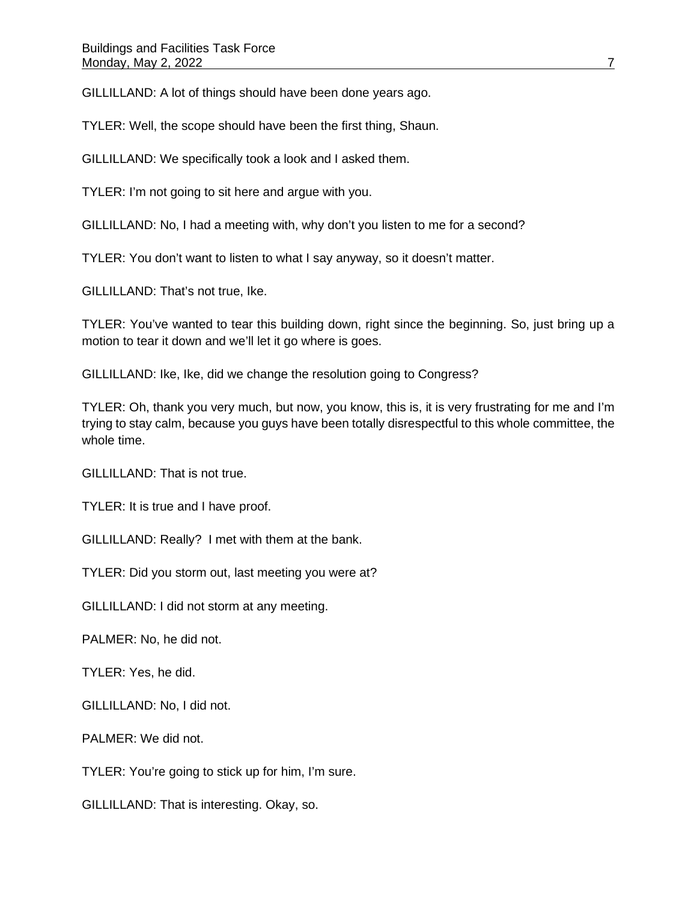GILLILLAND: A lot of things should have been done years ago.

TYLER: Well, the scope should have been the first thing, Shaun.

GILLILLAND: We specifically took a look and I asked them.

TYLER: I'm not going to sit here and argue with you.

GILLILLAND: No, I had a meeting with, why don't you listen to me for a second?

TYLER: You don't want to listen to what I say anyway, so it doesn't matter.

GILLILLAND: That's not true, Ike.

TYLER: You've wanted to tear this building down, right since the beginning. So, just bring up a motion to tear it down and we'll let it go where is goes.

GILLILLAND: Ike, Ike, did we change the resolution going to Congress?

TYLER: Oh, thank you very much, but now, you know, this is, it is very frustrating for me and I'm trying to stay calm, because you guys have been totally disrespectful to this whole committee, the whole time.

GILLILLAND: That is not true.

TYLER: It is true and I have proof.

GILLILLAND: Really? I met with them at the bank.

TYLER: Did you storm out, last meeting you were at?

GILLILLAND: I did not storm at any meeting.

PALMER: No, he did not.

TYLER: Yes, he did.

GILLILLAND: No, I did not.

PALMER: We did not.

TYLER: You're going to stick up for him, I'm sure.

GILLILLAND: That is interesting. Okay, so.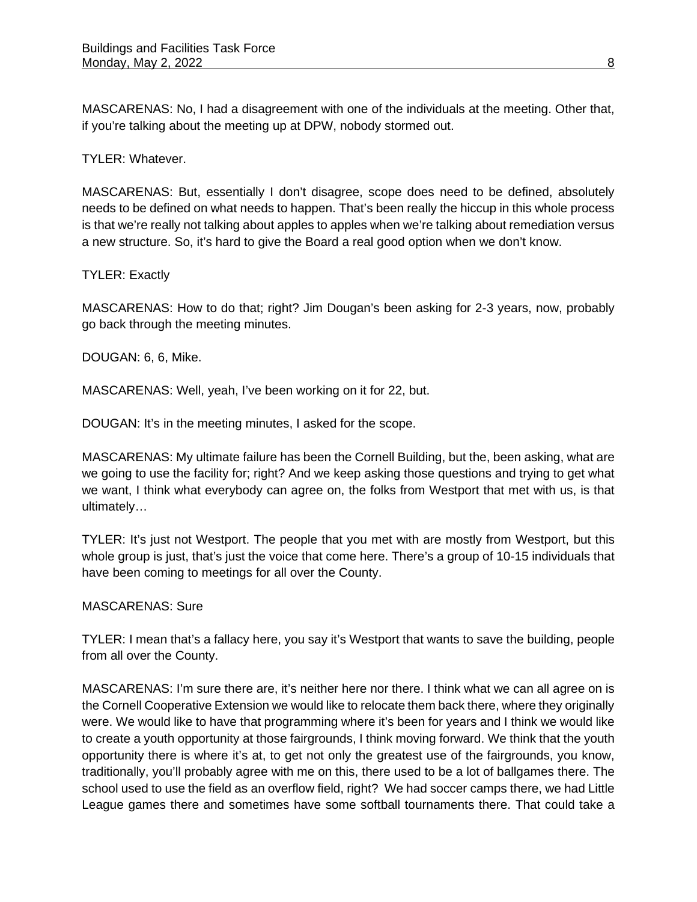MASCARENAS: No, I had a disagreement with one of the individuals at the meeting. Other that, if you're talking about the meeting up at DPW, nobody stormed out.

TYLER: Whatever.

MASCARENAS: But, essentially I don't disagree, scope does need to be defined, absolutely needs to be defined on what needs to happen. That's been really the hiccup in this whole process is that we're really not talking about apples to apples when we're talking about remediation versus a new structure. So, it's hard to give the Board a real good option when we don't know.

### TYLER: Exactly

MASCARENAS: How to do that; right? Jim Dougan's been asking for 2-3 years, now, probably go back through the meeting minutes.

DOUGAN: 6, 6, Mike.

MASCARENAS: Well, yeah, I've been working on it for 22, but.

DOUGAN: It's in the meeting minutes, I asked for the scope.

MASCARENAS: My ultimate failure has been the Cornell Building, but the, been asking, what are we going to use the facility for; right? And we keep asking those questions and trying to get what we want, I think what everybody can agree on, the folks from Westport that met with us, is that ultimately…

TYLER: It's just not Westport. The people that you met with are mostly from Westport, but this whole group is just, that's just the voice that come here. There's a group of 10-15 individuals that have been coming to meetings for all over the County.

MASCARENAS: Sure

TYLER: I mean that's a fallacy here, you say it's Westport that wants to save the building, people from all over the County.

MASCARENAS: I'm sure there are, it's neither here nor there. I think what we can all agree on is the Cornell Cooperative Extension we would like to relocate them back there, where they originally were. We would like to have that programming where it's been for years and I think we would like to create a youth opportunity at those fairgrounds, I think moving forward. We think that the youth opportunity there is where it's at, to get not only the greatest use of the fairgrounds, you know, traditionally, you'll probably agree with me on this, there used to be a lot of ballgames there. The school used to use the field as an overflow field, right? We had soccer camps there, we had Little League games there and sometimes have some softball tournaments there. That could take a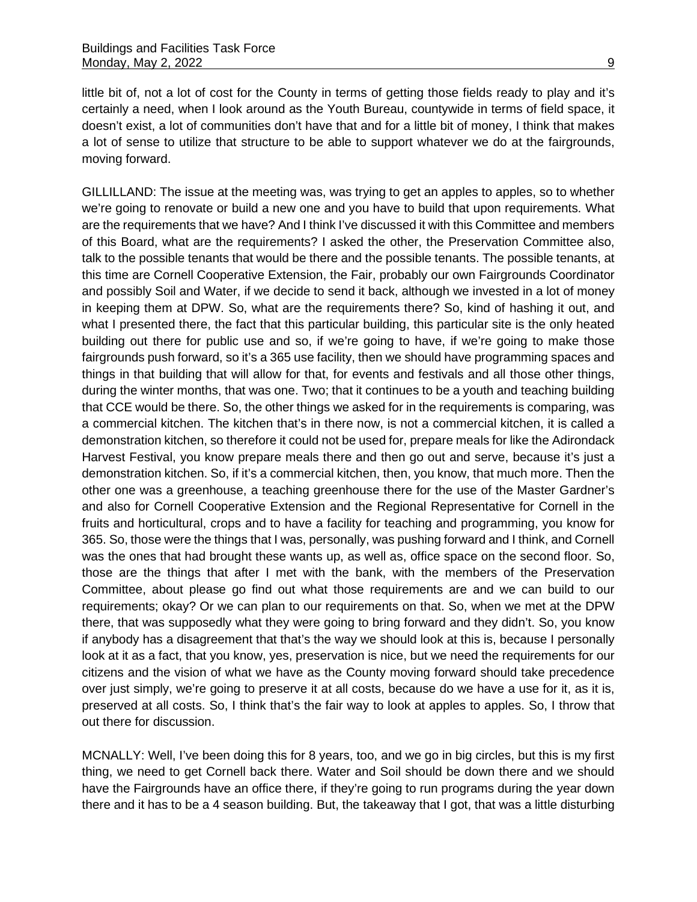little bit of, not a lot of cost for the County in terms of getting those fields ready to play and it's certainly a need, when I look around as the Youth Bureau, countywide in terms of field space, it doesn't exist, a lot of communities don't have that and for a little bit of money, I think that makes a lot of sense to utilize that structure to be able to support whatever we do at the fairgrounds, moving forward.

GILLILLAND: The issue at the meeting was, was trying to get an apples to apples, so to whether we're going to renovate or build a new one and you have to build that upon requirements. What are the requirements that we have? And I think I've discussed it with this Committee and members of this Board, what are the requirements? I asked the other, the Preservation Committee also, talk to the possible tenants that would be there and the possible tenants. The possible tenants, at this time are Cornell Cooperative Extension, the Fair, probably our own Fairgrounds Coordinator and possibly Soil and Water, if we decide to send it back, although we invested in a lot of money in keeping them at DPW. So, what are the requirements there? So, kind of hashing it out, and what I presented there, the fact that this particular building, this particular site is the only heated building out there for public use and so, if we're going to have, if we're going to make those fairgrounds push forward, so it's a 365 use facility, then we should have programming spaces and things in that building that will allow for that, for events and festivals and all those other things, during the winter months, that was one. Two; that it continues to be a youth and teaching building that CCE would be there. So, the other things we asked for in the requirements is comparing, was a commercial kitchen. The kitchen that's in there now, is not a commercial kitchen, it is called a demonstration kitchen, so therefore it could not be used for, prepare meals for like the Adirondack Harvest Festival, you know prepare meals there and then go out and serve, because it's just a demonstration kitchen. So, if it's a commercial kitchen, then, you know, that much more. Then the other one was a greenhouse, a teaching greenhouse there for the use of the Master Gardner's and also for Cornell Cooperative Extension and the Regional Representative for Cornell in the fruits and horticultural, crops and to have a facility for teaching and programming, you know for 365. So, those were the things that I was, personally, was pushing forward and I think, and Cornell was the ones that had brought these wants up, as well as, office space on the second floor. So, those are the things that after I met with the bank, with the members of the Preservation Committee, about please go find out what those requirements are and we can build to our requirements; okay? Or we can plan to our requirements on that. So, when we met at the DPW there, that was supposedly what they were going to bring forward and they didn't. So, you know if anybody has a disagreement that that's the way we should look at this is, because I personally look at it as a fact, that you know, yes, preservation is nice, but we need the requirements for our citizens and the vision of what we have as the County moving forward should take precedence over just simply, we're going to preserve it at all costs, because do we have a use for it, as it is, preserved at all costs. So, I think that's the fair way to look at apples to apples. So, I throw that out there for discussion.

MCNALLY: Well, I've been doing this for 8 years, too, and we go in big circles, but this is my first thing, we need to get Cornell back there. Water and Soil should be down there and we should have the Fairgrounds have an office there, if they're going to run programs during the year down there and it has to be a 4 season building. But, the takeaway that I got, that was a little disturbing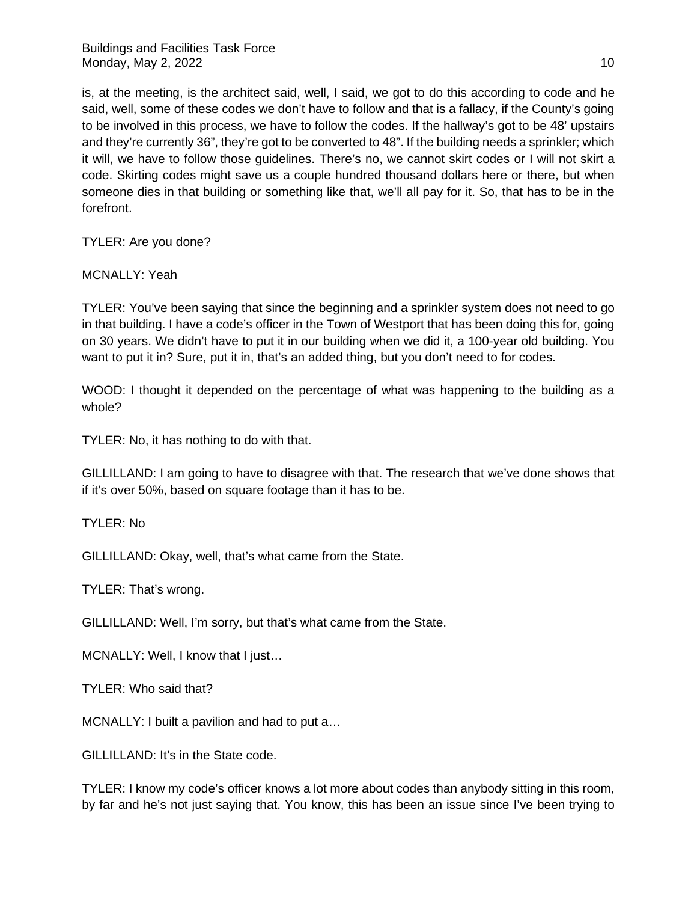is, at the meeting, is the architect said, well, I said, we got to do this according to code and he said, well, some of these codes we don't have to follow and that is a fallacy, if the County's going to be involved in this process, we have to follow the codes. If the hallway's got to be 48' upstairs and they're currently 36", they're got to be converted to 48". If the building needs a sprinkler; which it will, we have to follow those guidelines. There's no, we cannot skirt codes or I will not skirt a code. Skirting codes might save us a couple hundred thousand dollars here or there, but when someone dies in that building or something like that, we'll all pay for it. So, that has to be in the forefront.

TYLER: Are you done?

MCNALLY: Yeah

TYLER: You've been saying that since the beginning and a sprinkler system does not need to go in that building. I have a code's officer in the Town of Westport that has been doing this for, going on 30 years. We didn't have to put it in our building when we did it, a 100-year old building. You want to put it in? Sure, put it in, that's an added thing, but you don't need to for codes.

WOOD: I thought it depended on the percentage of what was happening to the building as a whole?

TYLER: No, it has nothing to do with that.

GILLILLAND: I am going to have to disagree with that. The research that we've done shows that if it's over 50%, based on square footage than it has to be.

TYLER: No

GILLILLAND: Okay, well, that's what came from the State.

TYLER: That's wrong.

GILLILLAND: Well, I'm sorry, but that's what came from the State.

MCNALLY: Well, I know that I just…

TYLER: Who said that?

MCNALLY: I built a pavilion and had to put a…

GILLILLAND: It's in the State code.

TYLER: I know my code's officer knows a lot more about codes than anybody sitting in this room, by far and he's not just saying that. You know, this has been an issue since I've been trying to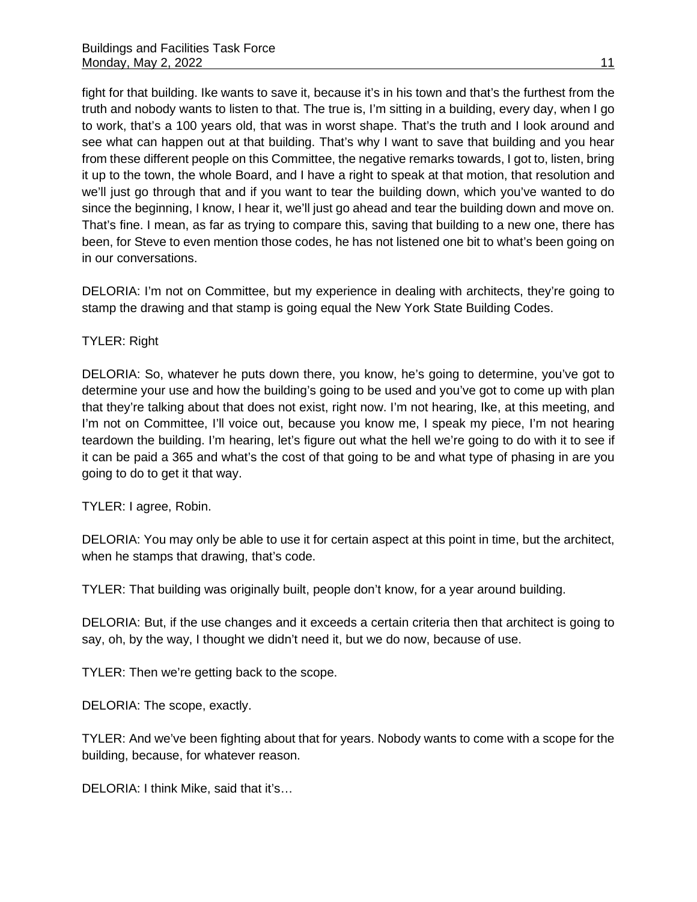fight for that building. Ike wants to save it, because it's in his town and that's the furthest from the truth and nobody wants to listen to that. The true is, I'm sitting in a building, every day, when I go to work, that's a 100 years old, that was in worst shape. That's the truth and I look around and see what can happen out at that building. That's why I want to save that building and you hear from these different people on this Committee, the negative remarks towards, I got to, listen, bring it up to the town, the whole Board, and I have a right to speak at that motion, that resolution and we'll just go through that and if you want to tear the building down, which you've wanted to do since the beginning, I know, I hear it, we'll just go ahead and tear the building down and move on. That's fine. I mean, as far as trying to compare this, saving that building to a new one, there has been, for Steve to even mention those codes, he has not listened one bit to what's been going on in our conversations.

DELORIA: I'm not on Committee, but my experience in dealing with architects, they're going to stamp the drawing and that stamp is going equal the New York State Building Codes.

#### TYLER: Right

DELORIA: So, whatever he puts down there, you know, he's going to determine, you've got to determine your use and how the building's going to be used and you've got to come up with plan that they're talking about that does not exist, right now. I'm not hearing, Ike, at this meeting, and I'm not on Committee, I'll voice out, because you know me, I speak my piece, I'm not hearing teardown the building. I'm hearing, let's figure out what the hell we're going to do with it to see if it can be paid a 365 and what's the cost of that going to be and what type of phasing in are you going to do to get it that way.

TYLER: I agree, Robin.

DELORIA: You may only be able to use it for certain aspect at this point in time, but the architect, when he stamps that drawing, that's code.

TYLER: That building was originally built, people don't know, for a year around building.

DELORIA: But, if the use changes and it exceeds a certain criteria then that architect is going to say, oh, by the way, I thought we didn't need it, but we do now, because of use.

TYLER: Then we're getting back to the scope.

DELORIA: The scope, exactly.

TYLER: And we've been fighting about that for years. Nobody wants to come with a scope for the building, because, for whatever reason.

DELORIA: I think Mike, said that it's…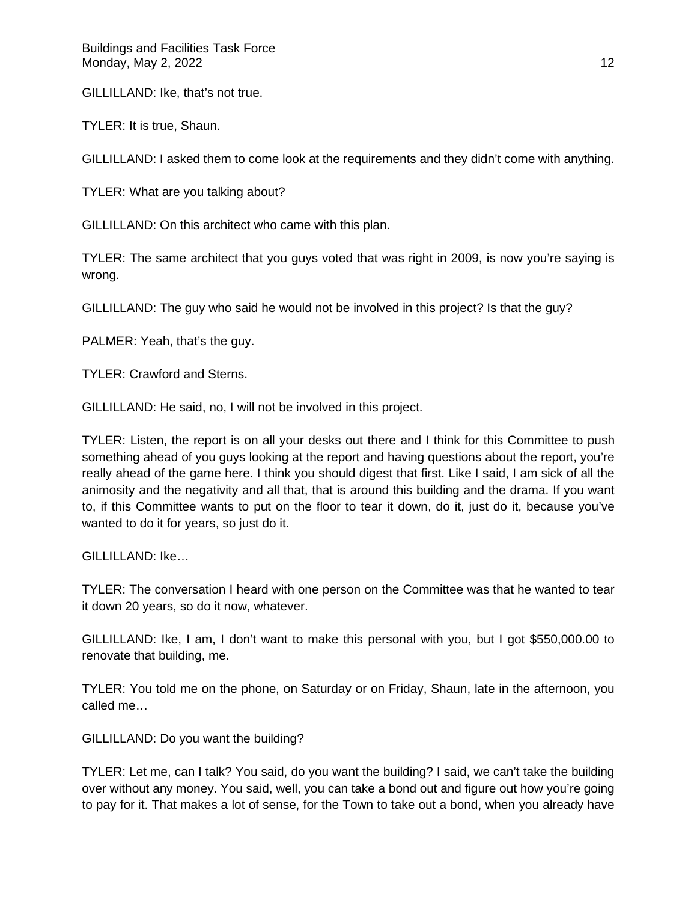GILLILLAND: Ike, that's not true.

TYLER: It is true, Shaun.

GILLILLAND: I asked them to come look at the requirements and they didn't come with anything.

TYLER: What are you talking about?

GILLILLAND: On this architect who came with this plan.

TYLER: The same architect that you guys voted that was right in 2009, is now you're saying is wrong.

GILLILLAND: The guy who said he would not be involved in this project? Is that the guy?

PALMER: Yeah, that's the guy.

TYLER: Crawford and Sterns.

GILLILLAND: He said, no, I will not be involved in this project.

TYLER: Listen, the report is on all your desks out there and I think for this Committee to push something ahead of you guys looking at the report and having questions about the report, you're really ahead of the game here. I think you should digest that first. Like I said, I am sick of all the animosity and the negativity and all that, that is around this building and the drama. If you want to, if this Committee wants to put on the floor to tear it down, do it, just do it, because you've wanted to do it for years, so just do it.

GILLILLAND: Ike…

TYLER: The conversation I heard with one person on the Committee was that he wanted to tear it down 20 years, so do it now, whatever.

GILLILLAND: Ike, I am, I don't want to make this personal with you, but I got \$550,000.00 to renovate that building, me.

TYLER: You told me on the phone, on Saturday or on Friday, Shaun, late in the afternoon, you called me…

GILLILLAND: Do you want the building?

TYLER: Let me, can I talk? You said, do you want the building? I said, we can't take the building over without any money. You said, well, you can take a bond out and figure out how you're going to pay for it. That makes a lot of sense, for the Town to take out a bond, when you already have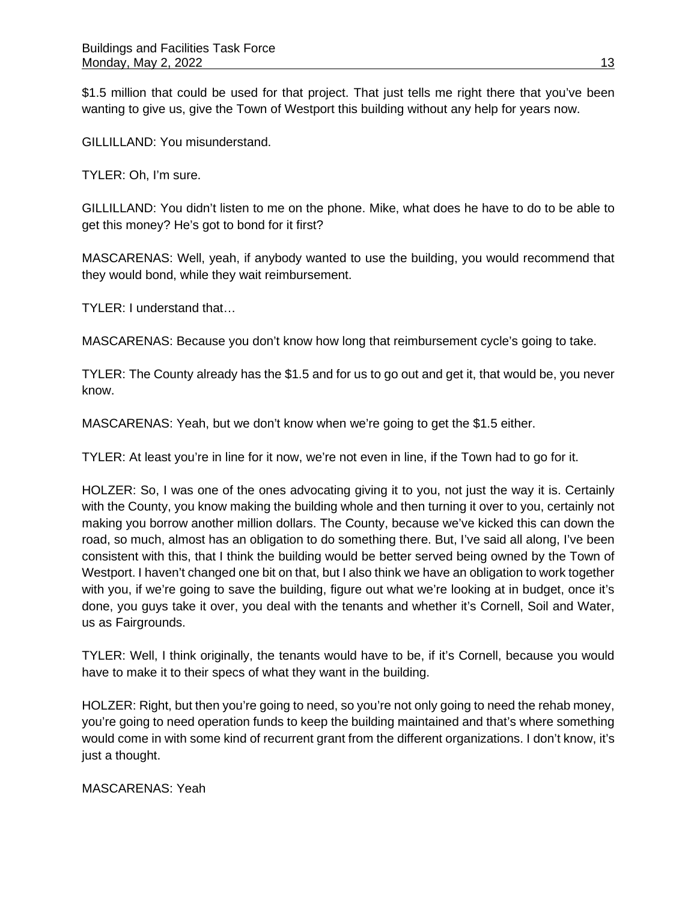\$1.5 million that could be used for that project. That just tells me right there that you've been wanting to give us, give the Town of Westport this building without any help for years now.

GILLILLAND: You misunderstand.

TYLER: Oh, I'm sure.

GILLILLAND: You didn't listen to me on the phone. Mike, what does he have to do to be able to get this money? He's got to bond for it first?

MASCARENAS: Well, yeah, if anybody wanted to use the building, you would recommend that they would bond, while they wait reimbursement.

TYLER: I understand that…

MASCARENAS: Because you don't know how long that reimbursement cycle's going to take.

TYLER: The County already has the \$1.5 and for us to go out and get it, that would be, you never know.

MASCARENAS: Yeah, but we don't know when we're going to get the \$1.5 either.

TYLER: At least you're in line for it now, we're not even in line, if the Town had to go for it.

HOLZER: So, I was one of the ones advocating giving it to you, not just the way it is. Certainly with the County, you know making the building whole and then turning it over to you, certainly not making you borrow another million dollars. The County, because we've kicked this can down the road, so much, almost has an obligation to do something there. But, I've said all along, I've been consistent with this, that I think the building would be better served being owned by the Town of Westport. I haven't changed one bit on that, but I also think we have an obligation to work together with you, if we're going to save the building, figure out what we're looking at in budget, once it's done, you guys take it over, you deal with the tenants and whether it's Cornell, Soil and Water, us as Fairgrounds.

TYLER: Well, I think originally, the tenants would have to be, if it's Cornell, because you would have to make it to their specs of what they want in the building.

HOLZER: Right, but then you're going to need, so you're not only going to need the rehab money, you're going to need operation funds to keep the building maintained and that's where something would come in with some kind of recurrent grant from the different organizations. I don't know, it's just a thought.

MASCARENAS: Yeah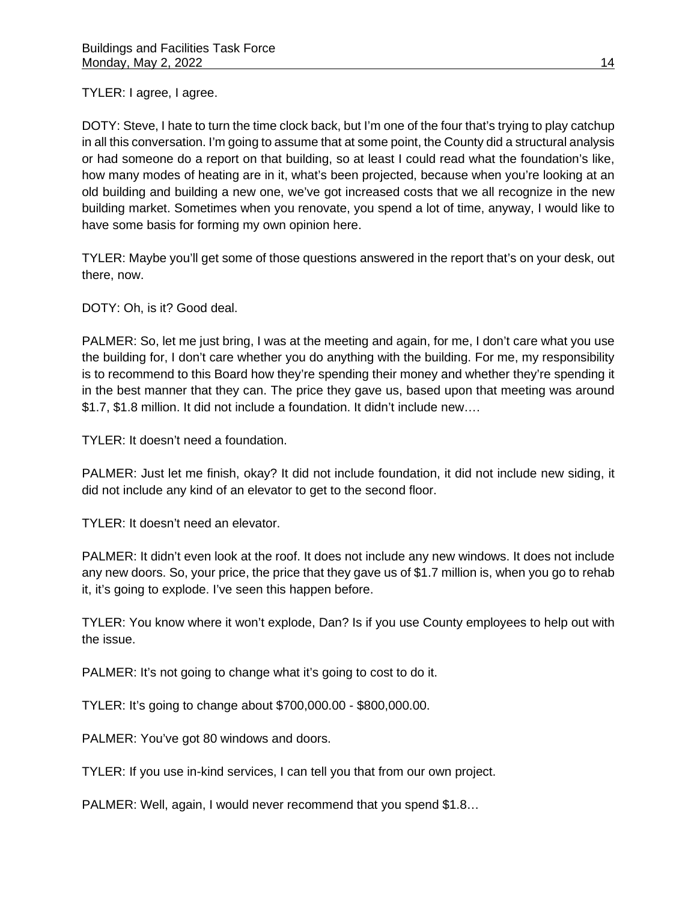TYLER: I agree, I agree.

DOTY: Steve, I hate to turn the time clock back, but I'm one of the four that's trying to play catchup in all this conversation. I'm going to assume that at some point, the County did a structural analysis or had someone do a report on that building, so at least I could read what the foundation's like, how many modes of heating are in it, what's been projected, because when you're looking at an old building and building a new one, we've got increased costs that we all recognize in the new building market. Sometimes when you renovate, you spend a lot of time, anyway, I would like to have some basis for forming my own opinion here.

TYLER: Maybe you'll get some of those questions answered in the report that's on your desk, out there, now.

DOTY: Oh, is it? Good deal.

PALMER: So, let me just bring, I was at the meeting and again, for me, I don't care what you use the building for, I don't care whether you do anything with the building. For me, my responsibility is to recommend to this Board how they're spending their money and whether they're spending it in the best manner that they can. The price they gave us, based upon that meeting was around \$1.7, \$1.8 million. It did not include a foundation. It didn't include new….

TYLER: It doesn't need a foundation.

PALMER: Just let me finish, okay? It did not include foundation, it did not include new siding, it did not include any kind of an elevator to get to the second floor.

TYLER: It doesn't need an elevator.

PALMER: It didn't even look at the roof. It does not include any new windows. It does not include any new doors. So, your price, the price that they gave us of \$1.7 million is, when you go to rehab it, it's going to explode. I've seen this happen before.

TYLER: You know where it won't explode, Dan? Is if you use County employees to help out with the issue.

PALMER: It's not going to change what it's going to cost to do it.

TYLER: It's going to change about \$700,000.00 - \$800,000.00.

PALMER: You've got 80 windows and doors.

TYLER: If you use in-kind services, I can tell you that from our own project.

PALMER: Well, again, I would never recommend that you spend \$1.8…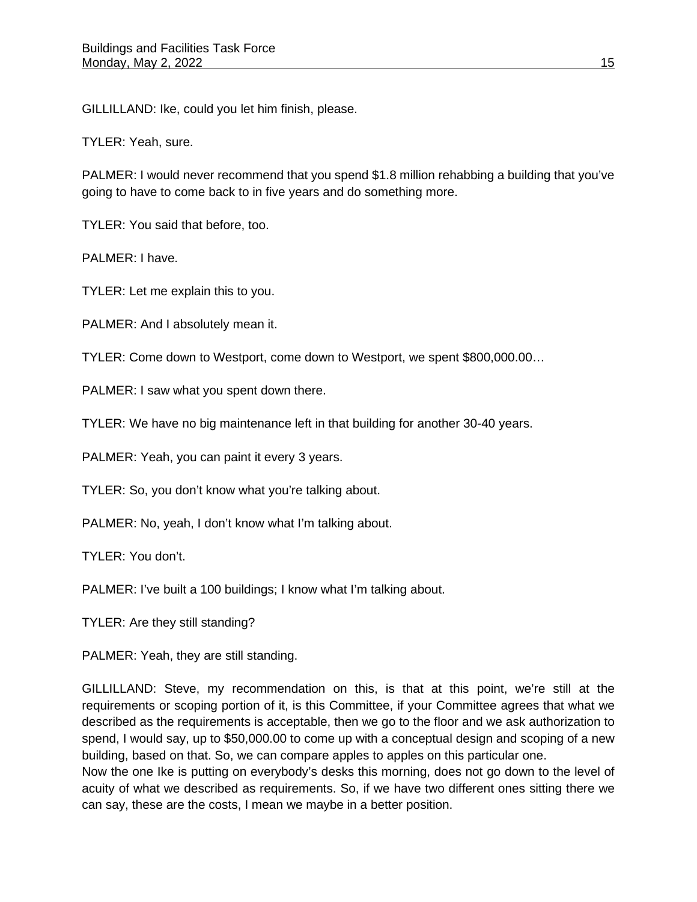GILLILLAND: Ike, could you let him finish, please.

TYLER: Yeah, sure.

PALMER: I would never recommend that you spend \$1.8 million rehabbing a building that you've going to have to come back to in five years and do something more.

TYLER: You said that before, too.

PALMER: I have.

TYLER: Let me explain this to you.

PALMER: And I absolutely mean it.

TYLER: Come down to Westport, come down to Westport, we spent \$800,000.00…

PALMER: I saw what you spent down there.

TYLER: We have no big maintenance left in that building for another 30-40 years.

PALMER: Yeah, you can paint it every 3 years.

TYLER: So, you don't know what you're talking about.

PALMER: No, yeah, I don't know what I'm talking about.

TYLER: You don't.

PALMER: I've built a 100 buildings; I know what I'm talking about.

TYLER: Are they still standing?

PALMER: Yeah, they are still standing.

GILLILLAND: Steve, my recommendation on this, is that at this point, we're still at the requirements or scoping portion of it, is this Committee, if your Committee agrees that what we described as the requirements is acceptable, then we go to the floor and we ask authorization to spend, I would say, up to \$50,000.00 to come up with a conceptual design and scoping of a new building, based on that. So, we can compare apples to apples on this particular one.

Now the one Ike is putting on everybody's desks this morning, does not go down to the level of acuity of what we described as requirements. So, if we have two different ones sitting there we can say, these are the costs, I mean we maybe in a better position.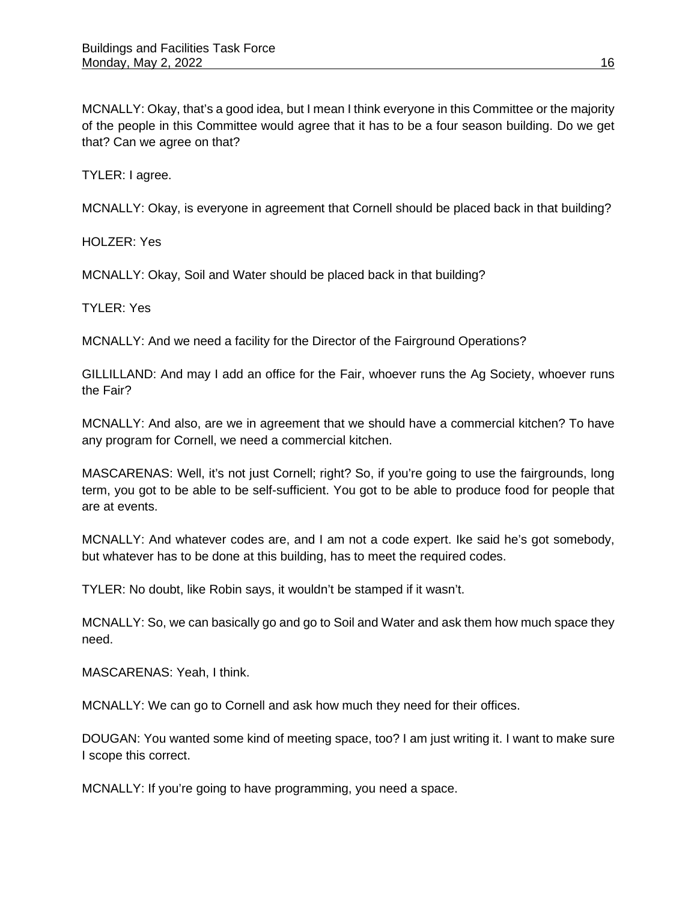MCNALLY: Okay, that's a good idea, but I mean I think everyone in this Committee or the majority of the people in this Committee would agree that it has to be a four season building. Do we get that? Can we agree on that?

TYLER: I agree.

MCNALLY: Okay, is everyone in agreement that Cornell should be placed back in that building?

HOLZER: Yes

MCNALLY: Okay, Soil and Water should be placed back in that building?

TYLER: Yes

MCNALLY: And we need a facility for the Director of the Fairground Operations?

GILLILLAND: And may I add an office for the Fair, whoever runs the Ag Society, whoever runs the Fair?

MCNALLY: And also, are we in agreement that we should have a commercial kitchen? To have any program for Cornell, we need a commercial kitchen.

MASCARENAS: Well, it's not just Cornell; right? So, if you're going to use the fairgrounds, long term, you got to be able to be self-sufficient. You got to be able to produce food for people that are at events.

MCNALLY: And whatever codes are, and I am not a code expert. Ike said he's got somebody, but whatever has to be done at this building, has to meet the required codes.

TYLER: No doubt, like Robin says, it wouldn't be stamped if it wasn't.

MCNALLY: So, we can basically go and go to Soil and Water and ask them how much space they need.

MASCARENAS: Yeah, I think.

MCNALLY: We can go to Cornell and ask how much they need for their offices.

DOUGAN: You wanted some kind of meeting space, too? I am just writing it. I want to make sure I scope this correct.

MCNALLY: If you're going to have programming, you need a space.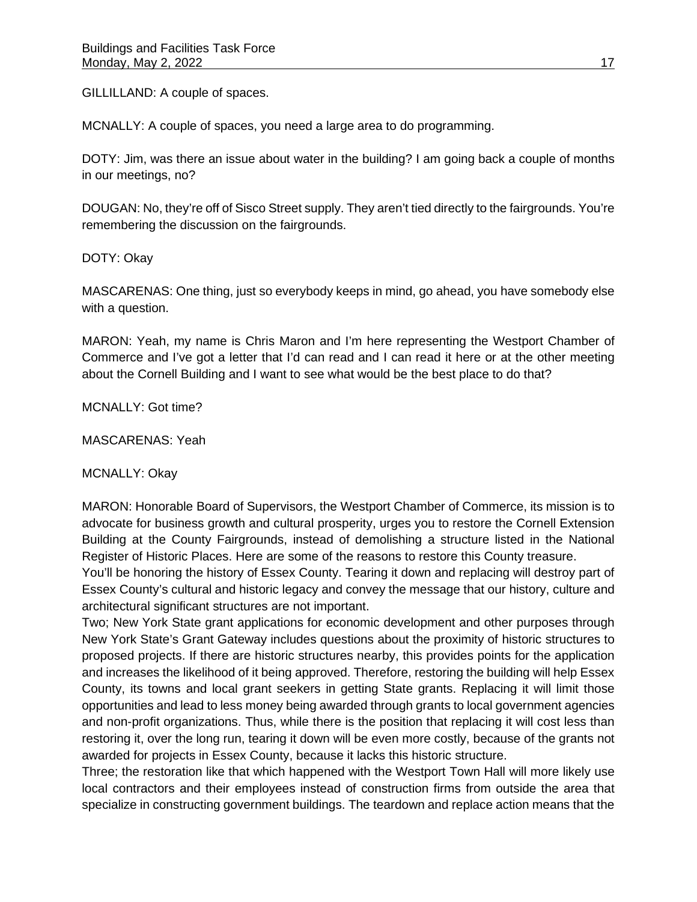GILLILLAND: A couple of spaces.

MCNALLY: A couple of spaces, you need a large area to do programming.

DOTY: Jim, was there an issue about water in the building? I am going back a couple of months in our meetings, no?

DOUGAN: No, they're off of Sisco Street supply. They aren't tied directly to the fairgrounds. You're remembering the discussion on the fairgrounds.

DOTY: Okay

MASCARENAS: One thing, just so everybody keeps in mind, go ahead, you have somebody else with a question.

MARON: Yeah, my name is Chris Maron and I'm here representing the Westport Chamber of Commerce and I've got a letter that I'd can read and I can read it here or at the other meeting about the Cornell Building and I want to see what would be the best place to do that?

MCNALLY: Got time?

MASCARENAS: Yeah

MCNALLY: Okay

MARON: Honorable Board of Supervisors, the Westport Chamber of Commerce, its mission is to advocate for business growth and cultural prosperity, urges you to restore the Cornell Extension Building at the County Fairgrounds, instead of demolishing a structure listed in the National Register of Historic Places. Here are some of the reasons to restore this County treasure.

You'll be honoring the history of Essex County. Tearing it down and replacing will destroy part of Essex County's cultural and historic legacy and convey the message that our history, culture and architectural significant structures are not important.

Two; New York State grant applications for economic development and other purposes through New York State's Grant Gateway includes questions about the proximity of historic structures to proposed projects. If there are historic structures nearby, this provides points for the application and increases the likelihood of it being approved. Therefore, restoring the building will help Essex County, its towns and local grant seekers in getting State grants. Replacing it will limit those opportunities and lead to less money being awarded through grants to local government agencies and non-profit organizations. Thus, while there is the position that replacing it will cost less than restoring it, over the long run, tearing it down will be even more costly, because of the grants not awarded for projects in Essex County, because it lacks this historic structure.

Three; the restoration like that which happened with the Westport Town Hall will more likely use local contractors and their employees instead of construction firms from outside the area that specialize in constructing government buildings. The teardown and replace action means that the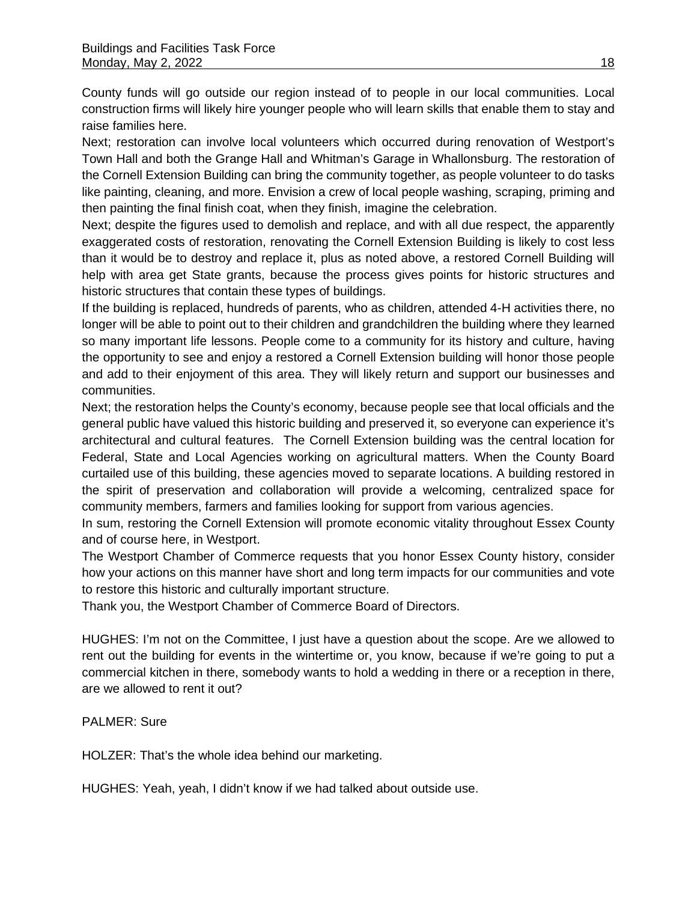County funds will go outside our region instead of to people in our local communities. Local construction firms will likely hire younger people who will learn skills that enable them to stay and raise families here.

Next; restoration can involve local volunteers which occurred during renovation of Westport's Town Hall and both the Grange Hall and Whitman's Garage in Whallonsburg. The restoration of the Cornell Extension Building can bring the community together, as people volunteer to do tasks like painting, cleaning, and more. Envision a crew of local people washing, scraping, priming and then painting the final finish coat, when they finish, imagine the celebration.

Next; despite the figures used to demolish and replace, and with all due respect, the apparently exaggerated costs of restoration, renovating the Cornell Extension Building is likely to cost less than it would be to destroy and replace it, plus as noted above, a restored Cornell Building will help with area get State grants, because the process gives points for historic structures and historic structures that contain these types of buildings.

If the building is replaced, hundreds of parents, who as children, attended 4-H activities there, no longer will be able to point out to their children and grandchildren the building where they learned so many important life lessons. People come to a community for its history and culture, having the opportunity to see and enjoy a restored a Cornell Extension building will honor those people and add to their enjoyment of this area. They will likely return and support our businesses and communities.

Next; the restoration helps the County's economy, because people see that local officials and the general public have valued this historic building and preserved it, so everyone can experience it's architectural and cultural features. The Cornell Extension building was the central location for Federal, State and Local Agencies working on agricultural matters. When the County Board curtailed use of this building, these agencies moved to separate locations. A building restored in the spirit of preservation and collaboration will provide a welcoming, centralized space for community members, farmers and families looking for support from various agencies.

In sum, restoring the Cornell Extension will promote economic vitality throughout Essex County and of course here, in Westport.

The Westport Chamber of Commerce requests that you honor Essex County history, consider how your actions on this manner have short and long term impacts for our communities and vote to restore this historic and culturally important structure.

Thank you, the Westport Chamber of Commerce Board of Directors.

HUGHES: I'm not on the Committee, I just have a question about the scope. Are we allowed to rent out the building for events in the wintertime or, you know, because if we're going to put a commercial kitchen in there, somebody wants to hold a wedding in there or a reception in there, are we allowed to rent it out?

## PALMER: Sure

HOLZER: That's the whole idea behind our marketing.

HUGHES: Yeah, yeah, I didn't know if we had talked about outside use.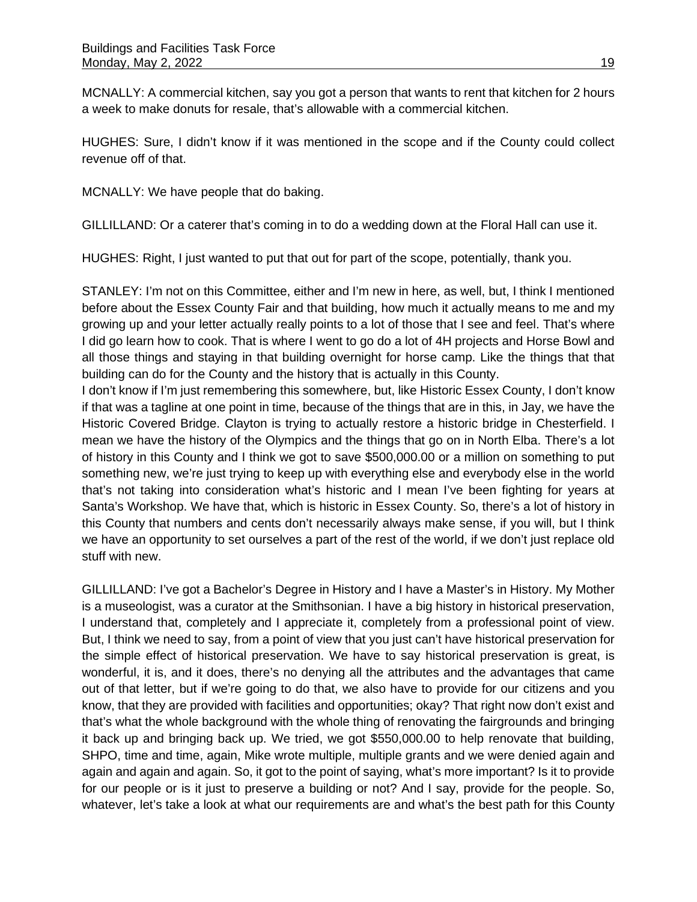MCNALLY: A commercial kitchen, say you got a person that wants to rent that kitchen for 2 hours a week to make donuts for resale, that's allowable with a commercial kitchen.

HUGHES: Sure, I didn't know if it was mentioned in the scope and if the County could collect revenue off of that.

MCNALLY: We have people that do baking.

GILLILLAND: Or a caterer that's coming in to do a wedding down at the Floral Hall can use it.

HUGHES: Right, I just wanted to put that out for part of the scope, potentially, thank you.

STANLEY: I'm not on this Committee, either and I'm new in here, as well, but, I think I mentioned before about the Essex County Fair and that building, how much it actually means to me and my growing up and your letter actually really points to a lot of those that I see and feel. That's where I did go learn how to cook. That is where I went to go do a lot of 4H projects and Horse Bowl and all those things and staying in that building overnight for horse camp. Like the things that that building can do for the County and the history that is actually in this County.

I don't know if I'm just remembering this somewhere, but, like Historic Essex County, I don't know if that was a tagline at one point in time, because of the things that are in this, in Jay, we have the Historic Covered Bridge. Clayton is trying to actually restore a historic bridge in Chesterfield. I mean we have the history of the Olympics and the things that go on in North Elba. There's a lot of history in this County and I think we got to save \$500,000.00 or a million on something to put something new, we're just trying to keep up with everything else and everybody else in the world that's not taking into consideration what's historic and I mean I've been fighting for years at Santa's Workshop. We have that, which is historic in Essex County. So, there's a lot of history in this County that numbers and cents don't necessarily always make sense, if you will, but I think we have an opportunity to set ourselves a part of the rest of the world, if we don't just replace old stuff with new.

GILLILLAND: I've got a Bachelor's Degree in History and I have a Master's in History. My Mother is a museologist, was a curator at the Smithsonian. I have a big history in historical preservation, I understand that, completely and I appreciate it, completely from a professional point of view. But, I think we need to say, from a point of view that you just can't have historical preservation for the simple effect of historical preservation. We have to say historical preservation is great, is wonderful, it is, and it does, there's no denying all the attributes and the advantages that came out of that letter, but if we're going to do that, we also have to provide for our citizens and you know, that they are provided with facilities and opportunities; okay? That right now don't exist and that's what the whole background with the whole thing of renovating the fairgrounds and bringing it back up and bringing back up. We tried, we got \$550,000.00 to help renovate that building, SHPO, time and time, again, Mike wrote multiple, multiple grants and we were denied again and again and again and again. So, it got to the point of saying, what's more important? Is it to provide for our people or is it just to preserve a building or not? And I say, provide for the people. So, whatever, let's take a look at what our requirements are and what's the best path for this County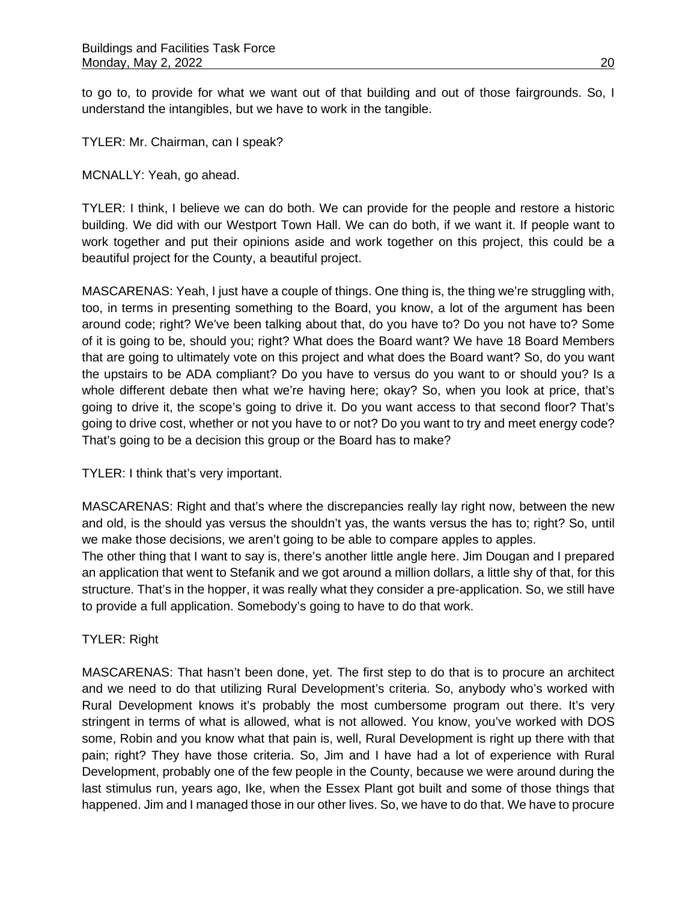to go to, to provide for what we want out of that building and out of those fairgrounds. So, I understand the intangibles, but we have to work in the tangible.

TYLER: Mr. Chairman, can I speak?

MCNALLY: Yeah, go ahead.

TYLER: I think, I believe we can do both. We can provide for the people and restore a historic building. We did with our Westport Town Hall. We can do both, if we want it. If people want to work together and put their opinions aside and work together on this project, this could be a beautiful project for the County, a beautiful project.

MASCARENAS: Yeah, I just have a couple of things. One thing is, the thing we're struggling with, too, in terms in presenting something to the Board, you know, a lot of the argument has been around code; right? We've been talking about that, do you have to? Do you not have to? Some of it is going to be, should you; right? What does the Board want? We have 18 Board Members that are going to ultimately vote on this project and what does the Board want? So, do you want the upstairs to be ADA compliant? Do you have to versus do you want to or should you? Is a whole different debate then what we're having here; okay? So, when you look at price, that's going to drive it, the scope's going to drive it. Do you want access to that second floor? That's going to drive cost, whether or not you have to or not? Do you want to try and meet energy code? That's going to be a decision this group or the Board has to make?

TYLER: I think that's very important.

MASCARENAS: Right and that's where the discrepancies really lay right now, between the new and old, is the should yas versus the shouldn't yas, the wants versus the has to; right? So, until we make those decisions, we aren't going to be able to compare apples to apples.

The other thing that I want to say is, there's another little angle here. Jim Dougan and I prepared an application that went to Stefanik and we got around a million dollars, a little shy of that, for this structure. That's in the hopper, it was really what they consider a pre-application. So, we still have to provide a full application. Somebody's going to have to do that work.

TYLER: Right

MASCARENAS: That hasn't been done, yet. The first step to do that is to procure an architect and we need to do that utilizing Rural Development's criteria. So, anybody who's worked with Rural Development knows it's probably the most cumbersome program out there. It's very stringent in terms of what is allowed, what is not allowed. You know, you've worked with DOS some, Robin and you know what that pain is, well, Rural Development is right up there with that pain; right? They have those criteria. So, Jim and I have had a lot of experience with Rural Development, probably one of the few people in the County, because we were around during the last stimulus run, years ago, Ike, when the Essex Plant got built and some of those things that happened. Jim and I managed those in our other lives. So, we have to do that. We have to procure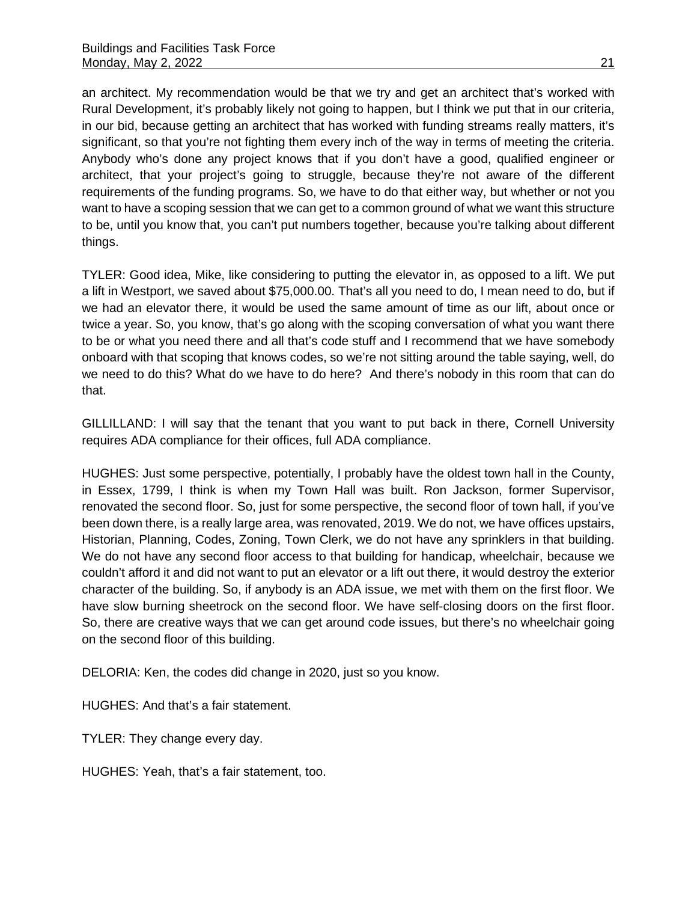an architect. My recommendation would be that we try and get an architect that's worked with Rural Development, it's probably likely not going to happen, but I think we put that in our criteria, in our bid, because getting an architect that has worked with funding streams really matters, it's significant, so that you're not fighting them every inch of the way in terms of meeting the criteria. Anybody who's done any project knows that if you don't have a good, qualified engineer or architect, that your project's going to struggle, because they're not aware of the different requirements of the funding programs. So, we have to do that either way, but whether or not you want to have a scoping session that we can get to a common ground of what we want this structure to be, until you know that, you can't put numbers together, because you're talking about different things.

TYLER: Good idea, Mike, like considering to putting the elevator in, as opposed to a lift. We put a lift in Westport, we saved about \$75,000.00. That's all you need to do, I mean need to do, but if we had an elevator there, it would be used the same amount of time as our lift, about once or twice a year. So, you know, that's go along with the scoping conversation of what you want there to be or what you need there and all that's code stuff and I recommend that we have somebody onboard with that scoping that knows codes, so we're not sitting around the table saying, well, do we need to do this? What do we have to do here? And there's nobody in this room that can do that.

GILLILLAND: I will say that the tenant that you want to put back in there, Cornell University requires ADA compliance for their offices, full ADA compliance.

HUGHES: Just some perspective, potentially, I probably have the oldest town hall in the County, in Essex, 1799, I think is when my Town Hall was built. Ron Jackson, former Supervisor, renovated the second floor. So, just for some perspective, the second floor of town hall, if you've been down there, is a really large area, was renovated, 2019. We do not, we have offices upstairs, Historian, Planning, Codes, Zoning, Town Clerk, we do not have any sprinklers in that building. We do not have any second floor access to that building for handicap, wheelchair, because we couldn't afford it and did not want to put an elevator or a lift out there, it would destroy the exterior character of the building. So, if anybody is an ADA issue, we met with them on the first floor. We have slow burning sheetrock on the second floor. We have self-closing doors on the first floor. So, there are creative ways that we can get around code issues, but there's no wheelchair going on the second floor of this building.

DELORIA: Ken, the codes did change in 2020, just so you know.

HUGHES: And that's a fair statement.

TYLER: They change every day.

HUGHES: Yeah, that's a fair statement, too.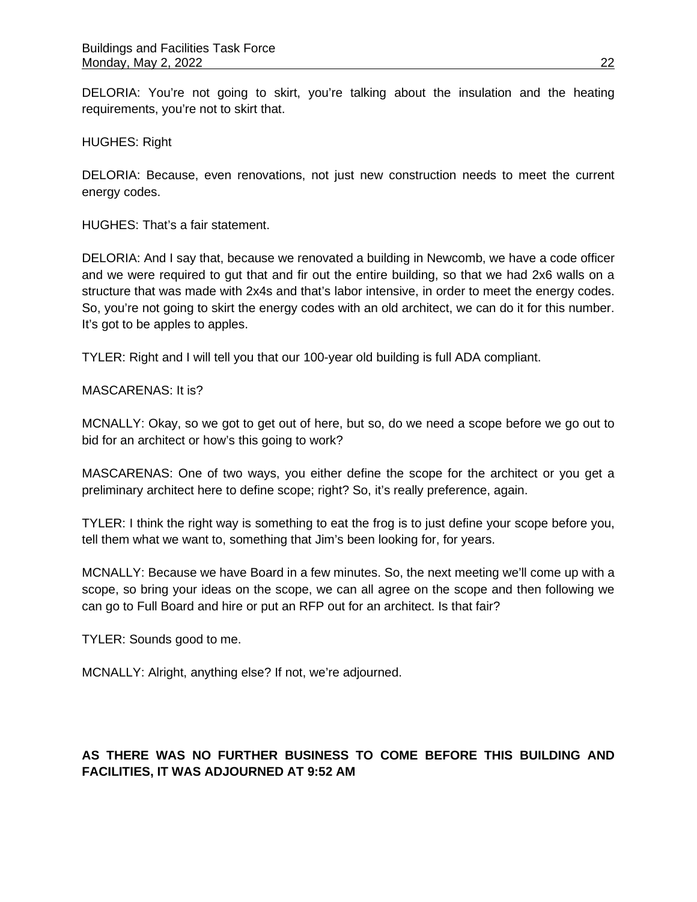DELORIA: You're not going to skirt, you're talking about the insulation and the heating requirements, you're not to skirt that.

HUGHES: Right

DELORIA: Because, even renovations, not just new construction needs to meet the current energy codes.

HUGHES: That's a fair statement.

DELORIA: And I say that, because we renovated a building in Newcomb, we have a code officer and we were required to gut that and fir out the entire building, so that we had 2x6 walls on a structure that was made with 2x4s and that's labor intensive, in order to meet the energy codes. So, you're not going to skirt the energy codes with an old architect, we can do it for this number. It's got to be apples to apples.

TYLER: Right and I will tell you that our 100-year old building is full ADA compliant.

MASCARENAS: It is?

MCNALLY: Okay, so we got to get out of here, but so, do we need a scope before we go out to bid for an architect or how's this going to work?

MASCARENAS: One of two ways, you either define the scope for the architect or you get a preliminary architect here to define scope; right? So, it's really preference, again.

TYLER: I think the right way is something to eat the frog is to just define your scope before you, tell them what we want to, something that Jim's been looking for, for years.

MCNALLY: Because we have Board in a few minutes. So, the next meeting we'll come up with a scope, so bring your ideas on the scope, we can all agree on the scope and then following we can go to Full Board and hire or put an RFP out for an architect. Is that fair?

TYLER: Sounds good to me.

MCNALLY: Alright, anything else? If not, we're adjourned.

# **AS THERE WAS NO FURTHER BUSINESS TO COME BEFORE THIS BUILDING AND FACILITIES, IT WAS ADJOURNED AT 9:52 AM**